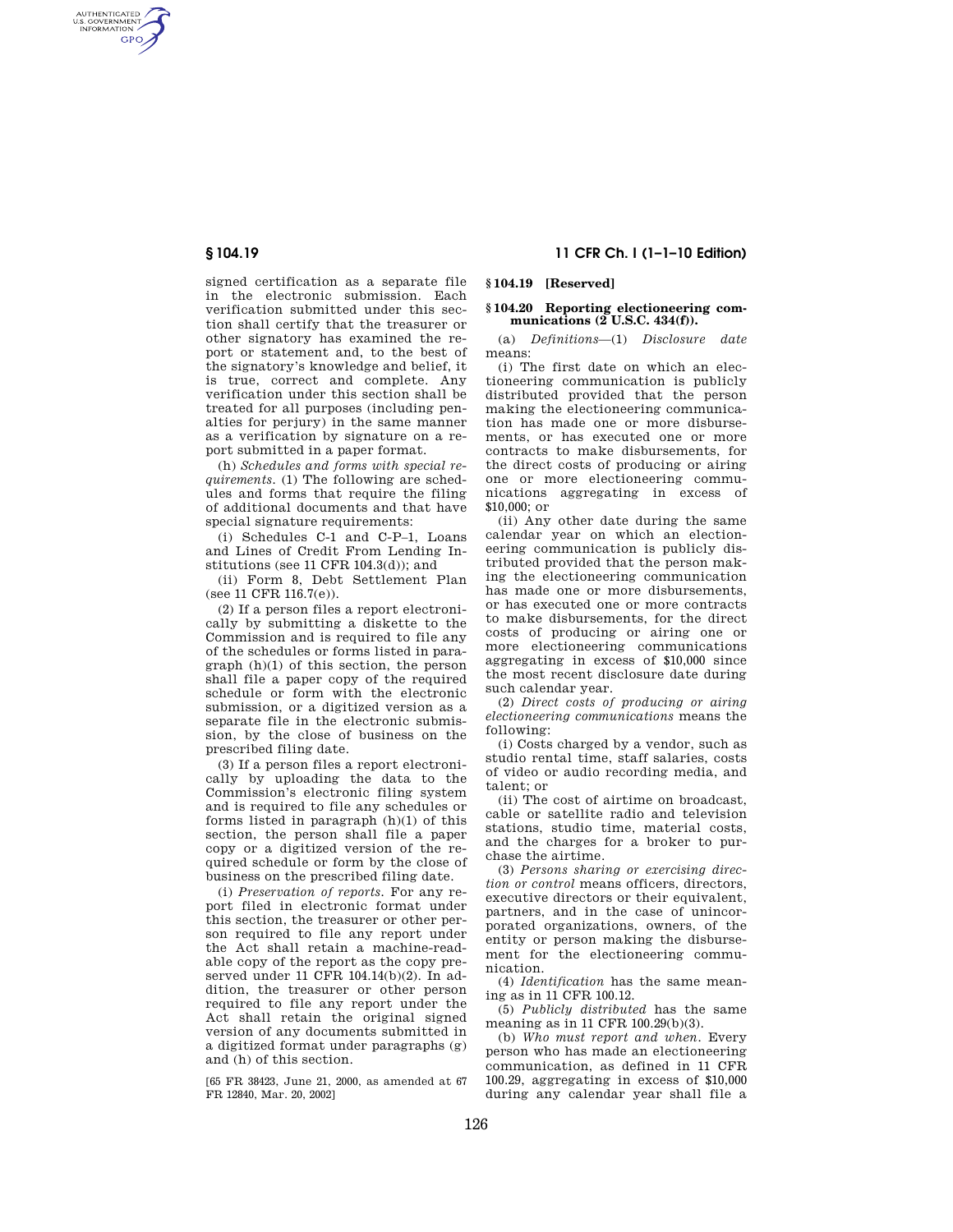AUTHENTICATED<br>U.S. GOVERNMENT<br>INFORMATION **GPO** 

> signed certification as a separate file in the electronic submission. Each verification submitted under this section shall certify that the treasurer or other signatory has examined the report or statement and, to the best of the signatory's knowledge and belief, it is true, correct and complete. Any verification under this section shall be treated for all purposes (including penalties for perjury) in the same manner as a verification by signature on a report submitted in a paper format.

> (h) *Schedules and forms with special requirements.* (1) The following are schedules and forms that require the filing of additional documents and that have special signature requirements:

> (i) Schedules C-1 and C-P–1, Loans and Lines of Credit From Lending Institutions (see 11 CFR 104.3(d)); and

(ii) Form 8, Debt Settlement Plan (see 11 CFR 116.7(e)).

(2) If a person files a report electronically by submitting a diskette to the Commission and is required to file any of the schedules or forms listed in paragraph (h)(1) of this section, the person shall file a paper copy of the required schedule or form with the electronic submission, or a digitized version as a separate file in the electronic submission, by the close of business on the prescribed filing date.

(3) If a person files a report electronically by uploading the data to the Commission's electronic filing system and is required to file any schedules or forms listed in paragraph (h)(1) of this section, the person shall file a paper copy or a digitized version of the required schedule or form by the close of business on the prescribed filing date.

(i) *Preservation of reports.* For any report filed in electronic format under this section, the treasurer or other person required to file any report under the Act shall retain a machine-readable copy of the report as the copy preserved under 11 CFR 104.14(b)(2). In addition, the treasurer or other person required to file any report under the Act shall retain the original signed version of any documents submitted in a digitized format under paragraphs (g) and (h) of this section.

[65 FR 38423, June 21, 2000, as amended at 67 FR 12840, Mar. 20, 2002]

# **§ 104.19 11 CFR Ch. I (1–1–10 Edition)**

# **§ 104.19 [Reserved]**

### **§ 104.20 Reporting electioneering communications (2 U.S.C. 434(f)).**

(a) *Definitions*—(1) *Disclosure date*  means:

(i) The first date on which an electioneering communication is publicly distributed provided that the person making the electioneering communication has made one or more disbursements, or has executed one or more contracts to make disbursements, for the direct costs of producing or airing one or more electioneering communications aggregating in excess of  $$10,000;$  or

(ii) Any other date during the same calendar year on which an electioneering communication is publicly distributed provided that the person making the electioneering communication has made one or more disbursements, or has executed one or more contracts to make disbursements, for the direct costs of producing or airing one or more electioneering communications aggregating in excess of \$10,000 since the most recent disclosure date during such calendar year.

(2) *Direct costs of producing or airing electioneering communications* means the following:

(i) Costs charged by a vendor, such as studio rental time, staff salaries, costs of video or audio recording media, and talent; or

(ii) The cost of airtime on broadcast, cable or satellite radio and television stations, studio time, material costs, and the charges for a broker to purchase the airtime.

(3) *Persons sharing or exercising direction or control* means officers, directors, executive directors or their equivalent, partners, and in the case of unincorporated organizations, owners, of the entity or person making the disbursement for the electioneering communication.

(4) *Identification* has the same meaning as in 11 CFR 100.12.

(5) *Publicly distributed* has the same meaning as in 11 CFR 100.29(b)(3).

(b) *Who must report and when.* Every person who has made an electioneering communication, as defined in 11 CFR 100.29, aggregating in excess of \$10,000 during any calendar year shall file a